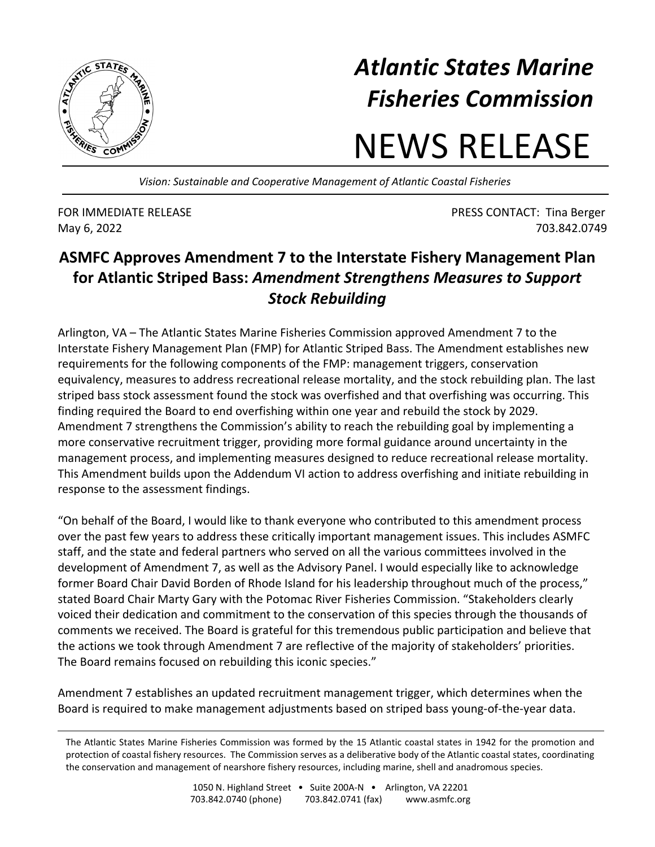

## *Atlantic States Marine Fisheries Commission*

## NEWS RELEASE

*Vision: Sustainable and Cooperative Management of Atlantic Coastal Fisheries* 

FOR IMMEDIATE RELEASE PRESS CONTACT: Tina Berger May 6, 2022 703.842.0749

## **ASMFC Approves Amendment 7 to the Interstate Fishery Management Plan for Atlantic Striped Bass:** *Amendment Strengthens Measures to Support Stock Rebuilding*

Arlington, VA – The Atlantic States Marine Fisheries Commission approved Amendment 7 to the Interstate Fishery Management Plan (FMP) for Atlantic Striped Bass. The Amendment establishes new requirements for the following components of the FMP: management triggers, conservation equivalency, measures to address recreational release mortality, and the stock rebuilding plan. The last striped bass stock assessment found the stock was overfished and that overfishing was occurring. This finding required the Board to end overfishing within one year and rebuild the stock by 2029. Amendment 7 strengthens the Commission's ability to reach the rebuilding goal by implementing a more conservative recruitment trigger, providing more formal guidance around uncertainty in the management process, and implementing measures designed to reduce recreational release mortality. This Amendment builds upon the Addendum VI action to address overfishing and initiate rebuilding in response to the assessment findings.

"On behalf of the Board, I would like to thank everyone who contributed to this amendment process over the past few years to address these critically important management issues. This includes ASMFC staff, and the state and federal partners who served on all the various committees involved in the development of Amendment 7, as well as the Advisory Panel. I would especially like to acknowledge former Board Chair David Borden of Rhode Island for his leadership throughout much of the process," stated Board Chair Marty Gary with the Potomac River Fisheries Commission. "Stakeholders clearly voiced their dedication and commitment to the conservation of this species through the thousands of comments we received. The Board is grateful for this tremendous public participation and believe that the actions we took through Amendment 7 are reflective of the majority of stakeholders' priorities. The Board remains focused on rebuilding this iconic species."

Amendment 7 establishes an updated recruitment management trigger, which determines when the Board is required to make management adjustments based on striped bass young-of-the-year data.

The Atlantic States Marine Fisheries Commission was formed by the 15 Atlantic coastal states in 1942 for the promotion and protection of coastal fishery resources. The Commission serves as a deliberative body of the Atlantic coastal states, coordinating the conservation and management of nearshore fishery resources, including marine, shell and anadromous species.